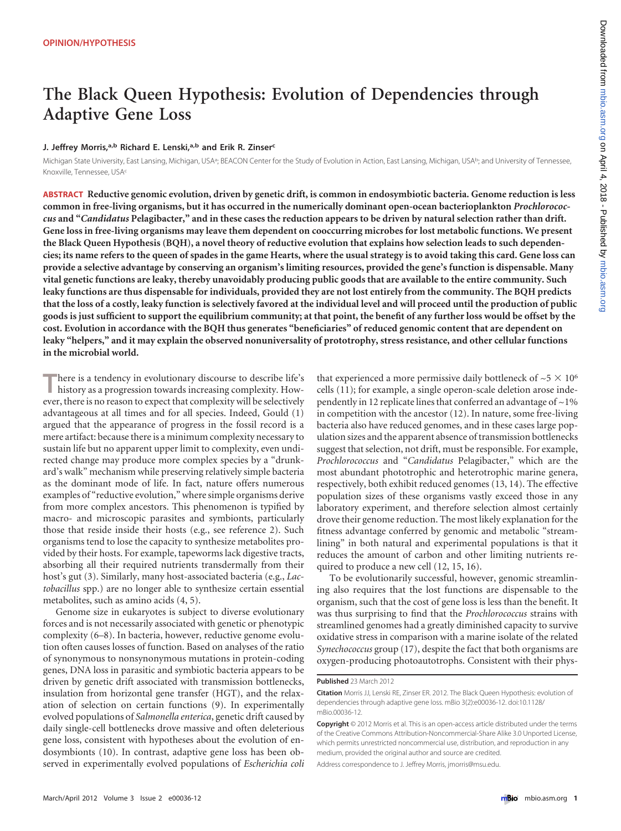# **The Black Queen Hypothesis: Evolution of Dependencies through Adaptive Gene Loss**

#### **J. Jeffrey Morris, a,b Richard E. Lenski, a,b and Erik R. Zinserc**

Michigan State University, East Lansing, Michigan, USA<sup>a</sup>; BEACON Center for the Study of Evolution in Action, East Lansing, Michigan, USA<sup>b</sup>; and University of Tennessee, Knoxville, Tennessee, USA<sup>c</sup>

**ABSTRACT Reductive genomic evolution, driven by genetic drift, is common in endosymbiotic bacteria. Genome reduction is less common in free-living organisms, but it has occurred in the numerically dominant open-ocean bacterioplankton** *Prochlorococcus* **and "***Candidatus* **Pelagibacter," and in these cases the reduction appears to be driven by natural selection rather than drift. Gene loss in free-living organisms may leave them dependent on cooccurring microbes for lost metabolic functions. We present the Black Queen Hypothesis (BQH), a novel theory of reductive evolution that explains how selection leads to such dependencies; its name refers to the queen of spades in the game Hearts, where the usual strategy is to avoid taking this card. Gene loss can provide a selective advantage by conserving an organism's limiting resources, provided the gene's function is dispensable. Many vital genetic functions are leaky, thereby unavoidably producing public goods that are available to the entire community. Such leaky functions are thus dispensable for individuals, provided they are not lost entirely from the community. The BQH predicts that the loss of a costly, leaky function is selectively favored at the individual level and will proceed until the production of public goods is just sufficient to support the equilibrium community; at that point, the benefit of any further loss would be offset by the cost. Evolution in accordance with the BQH thus generates "beneficiaries" of reduced genomic content that are dependent on leaky "helpers," and it may explain the observed nonuniversality of prototrophy, stress resistance, and other cellular functions in the microbial world.**

here is a tendency in evolutionary discourse to describe life's history as a progression towards increasing complexity. However, there is no reason to expect that complexity will be selectively advantageous at all times and for all species. Indeed, Gould [\(1\)](#page-5-0) argued that the appearance of progress in the fossil record is a mere artifact: because there is a minimum complexity necessary to sustain life but no apparent upper limit to complexity, even undirected change may produce more complex species by a "drunkard's walk" mechanism while preserving relatively simple bacteria as the dominant mode of life. In fact, nature offers numerous examples of "reductive evolution," where simple organisms derive from more complex ancestors. This phenomenon is typified by macro- and microscopic parasites and symbionts, particularly those that reside inside their hosts (e.g., see reference 2). Such organisms tend to lose the capacity to synthesize metabolites provided by their hosts. For example, tapeworms lack digestive tracts, absorbing all their required nutrients transdermally from their host's gut [\(3\)](#page-5-1). Similarly, many host-associated bacteria (e.g., *Lactobacillus* spp.) are no longer able to synthesize certain essential metabolites, such as amino acids [\(4,](#page-5-2) [5\)](#page-5-3).

Genome size in eukaryotes is subject to diverse evolutionary forces and is not necessarily associated with genetic or phenotypic complexity [\(6](#page-5-4)[–](#page-5-5)[8\)](#page-5-6). In bacteria, however, reductive genome evolution often causes losses of function. Based on analyses of the ratio of synonymous to nonsynonymous mutations in protein-coding genes, DNA loss in parasitic and symbiotic bacteria appears to be driven by genetic drift associated with transmission bottlenecks, insulation from horizontal gene transfer (HGT), and the relaxation of selection on certain functions [\(9\)](#page-5-7). In experimentally evolved populations of *Salmonella enterica*, genetic drift caused by daily single-cell bottlenecks drove massive and often deleterious gene loss, consistent with hypotheses about the evolution of endosymbionts [\(10\)](#page-5-8). In contrast, adaptive gene loss has been observed in experimentally evolved populations of *Escherichia coli* that experienced a more permissive daily bottleneck of  $\sim$  5  $\times$  10<sup>6</sup> cells [\(11\)](#page-5-9); for example, a single operon-scale deletion arose independently in 12 replicate lines that conferred an advantage of  $\sim$ 1% in competition with the ancestor [\(12\)](#page-5-10). In nature, some free-living bacteria also have reduced genomes, and in these cases large population sizes and the apparent absence of transmission bottlenecks suggest that selection, not drift, must be responsible. For example, *Prochlorococcus* and "*Candidatus* Pelagibacter," which are the most abundant phototrophic and heterotrophic marine genera, respectively, both exhibit reduced genomes [\(13,](#page-5-11) [14\)](#page-5-12). The effective population sizes of these organisms vastly exceed those in any laboratory experiment, and therefore selection almost certainly drove their genome reduction. The most likely explanation for the fitness advantage conferred by genomic and metabolic "streamlining" in both natural and experimental populations is that it reduces the amount of carbon and other limiting nutrients required to produce a new cell [\(12,](#page-5-10) [15,](#page-5-13) [16\)](#page-5-14).

To be evolutionarily successful, however, genomic streamlining also requires that the lost functions are dispensable to the organism, such that the cost of gene loss is less than the benefit. It was thus surprising to find that the *Prochlorococcus* strains with streamlined genomes had a greatly diminished capacity to survive oxidative stress in comparison with a marine isolate of the related *Synechococcus* group [\(17\)](#page-5-15), despite the fact that both organisms are oxygen-producing photoautotrophs. Consistent with their phys-

#### **Published** 23 March 2012

Address correspondence to J. Jeffrey Morris, jmorris@msu.edu.

**Citation** Morris JJ, Lenski RE, Zinser ER. 2012. The Black Queen Hypothesis: evolution of dependencies through adaptive gene loss. mBio 3(2):e00036-12. doi:10.1128/ mBio.00036-12.

**Copyright** © 2012 Morris et al. This is an open-access article distributed under the terms of the Creative Commons Attribution-Noncommercial-Share Alike 3.0 Unported License, which permits unrestricted noncommercial use, distribution, and reproduction in any medium, provided the original author and source are credited.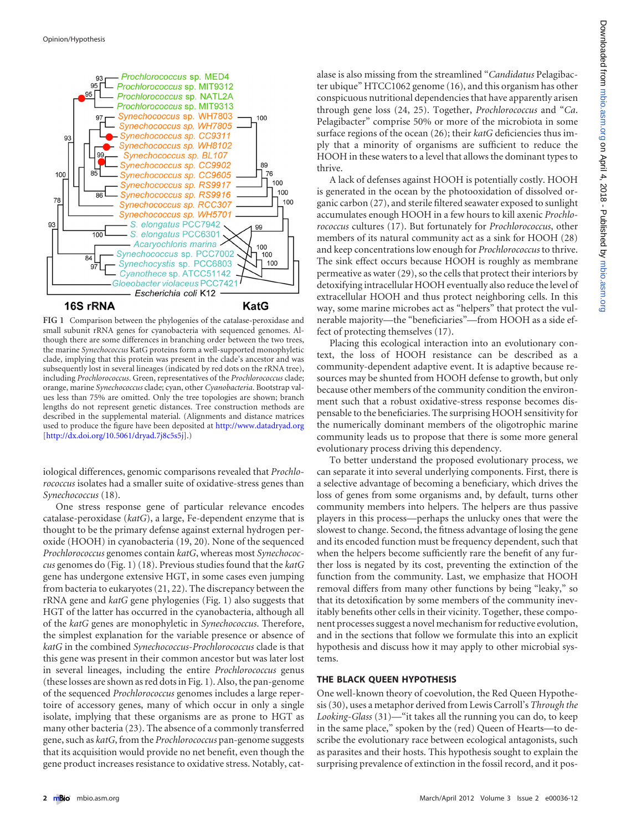

<span id="page-1-0"></span>**FIG 1** Comparison between the phylogenies of the catalase-peroxidase and small subunit rRNA genes for cyanobacteria with sequenced genomes. Although there are some differences in branching order between the two trees, the marine *Synechococcus* KatG proteins form a well-supported monophyletic clade, implying that this protein was present in the clade's ancestor and was subsequently lost in several lineages (indicated by red dots on the rRNA tree), including *Prochlorococcus*. Green, representatives of the *Prochlorococcus* clade; orange, marine *Synechococcus* clade; cyan, other *Cyanobacteria*. Bootstrap values less than 75% are omitted. Only the tree topologies are shown; branch lengths do not represent genetic distances. Tree construction methods are described in the supplemental material. (Alignments and distance matrices used to produce the figure have been deposited at <http://www.datadryad.org> [\[http://dx.doi.org/10.5061/dryad.7j8c5s5j\]](http://dx.doi.org/10.5061/dryad.7j8c5s5j).)

iological differences, genomic comparisons revealed that *Prochlorococcus* isolates had a smaller suite of oxidative-stress genes than *Synechococcus* [\(18\)](#page-5-16).

One stress response gene of particular relevance encodes catalase-peroxidase (*katG*), a large, Fe-dependent enzyme that is thought to be the primary defense against external hydrogen peroxide (HOOH) in cyanobacteria [\(19,](#page-5-17) [20\)](#page-5-18). None of the sequenced *Prochlorococcus* genomes contain *katG*, whereas most *Synechococcus* genomes do [\(Fig. 1\)](#page-1-0) [\(18\)](#page-5-16). Previous studies found that the *katG* gene has undergone extensive HGT, in some cases even jumping from bacteria to eukaryotes [\(21,](#page-5-19) [22\)](#page-5-20). The discrepancy between the rRNA gene and *katG* gene phylogenies [\(Fig. 1\)](#page-1-0) also suggests that HGT of the latter has occurred in the cyanobacteria, although all of the *katG* genes are monophyletic in *Synechococcus*. Therefore, the simplest explanation for the variable presence or absence of *katG* in the combined *Synechococcus-Prochlorococcus* clade is that this gene was present in their common ancestor but was later lost in several lineages, including the entire *Prochlorococcus* genus (these losses are shown as red dots in [Fig. 1\)](#page-1-0). Also, the pan-genome of the sequenced *Prochlorococcus* genomes includes a large repertoire of accessory genes, many of which occur in only a single isolate, implying that these organisms are as prone to HGT as many other bacteria [\(23\)](#page-5-21). The absence of a commonly transferred gene, such as *katG*, from the *Prochlorococcus* pan-genome suggests that its acquisition would provide no net benefit, even though the gene product increases resistance to oxidative stress. Notably, catalase is also missing from the streamlined "*Candidatus* Pelagibacter ubique" HTCC1062 genome [\(16\)](#page-5-14), and this organism has other conspicuous nutritional dependencies that have apparently arisen through gene loss [\(24,](#page-5-22) [25\)](#page-5-23). Together, *Prochlorococcus* and "*Ca*. Pelagibacter" comprise 50% or more of the microbiota in some surface regions of the ocean [\(26\)](#page-5-24); their *katG* deficiencies thus imply that a minority of organisms are sufficient to reduce the HOOH in these waters to a level that allows the dominant types to thrive.

A lack of defenses against HOOH is potentially costly. HOOH is generated in the ocean by the photooxidation of dissolved organic carbon [\(27\)](#page-5-25), and sterile filtered seawater exposed to sunlight accumulates enough HOOH in a few hours to kill axenic *Prochlorococcus* cultures [\(17\)](#page-5-15). But fortunately for *Prochlorococcus*, other members of its natural community act as a sink for HOOH [\(28\)](#page-5-26) and keep concentrations low enough for *Prochlorococcus* to thrive. The sink effect occurs because HOOH is roughly as membrane permeative as water [\(29\)](#page-5-27), so the cells that protect their interiors by detoxifying intracellular HOOH eventually also reduce the level of extracellular HOOH and thus protect neighboring cells. In this way, some marine microbes act as "helpers" that protect the vulnerable majority—the "beneficiaries"—from HOOH as a side effect of protecting themselves [\(17\)](#page-5-15).

Placing this ecological interaction into an evolutionary context, the loss of HOOH resistance can be described as a community-dependent adaptive event. It is adaptive because resources may be shunted from HOOH defense to growth, but only because other members of the community condition the environment such that a robust oxidative-stress response becomes dispensable to the beneficiaries. The surprising HOOH sensitivity for the numerically dominant members of the oligotrophic marine community leads us to propose that there is some more general evolutionary process driving this dependency.

To better understand the proposed evolutionary process, we can separate it into several underlying components. First, there is a selective advantage of becoming a beneficiary, which drives the loss of genes from some organisms and, by default, turns other community members into helpers. The helpers are thus passive players in this process—perhaps the unlucky ones that were the slowest to change. Second, the fitness advantage of losing the gene and its encoded function must be frequency dependent, such that when the helpers become sufficiently rare the benefit of any further loss is negated by its cost, preventing the extinction of the function from the community. Last, we emphasize that HOOH removal differs from many other functions by being "leaky," so that its detoxification by some members of the community inevitably benefits other cells in their vicinity. Together, these component processes suggest a novel mechanism for reductive evolution, and in the sections that follow we formulate this into an explicit hypothesis and discuss how it may apply to other microbial systems.

# **THE BLACK QUEEN HYPOTHESIS**

One well-known theory of coevolution, the Red Queen Hypothesis [\(30\)](#page-5-28), uses a metaphor derived from Lewis Carroll's *Through the Looking-Glass* [\(31\)](#page-5-29)—"it takes all the running you can do, to keep in the same place," spoken by the (red) Queen of Hearts—to describe the evolutionary race between ecological antagonists, such as parasites and their hosts. This hypothesis sought to explain the surprising prevalence of extinction in the fossil record, and it pos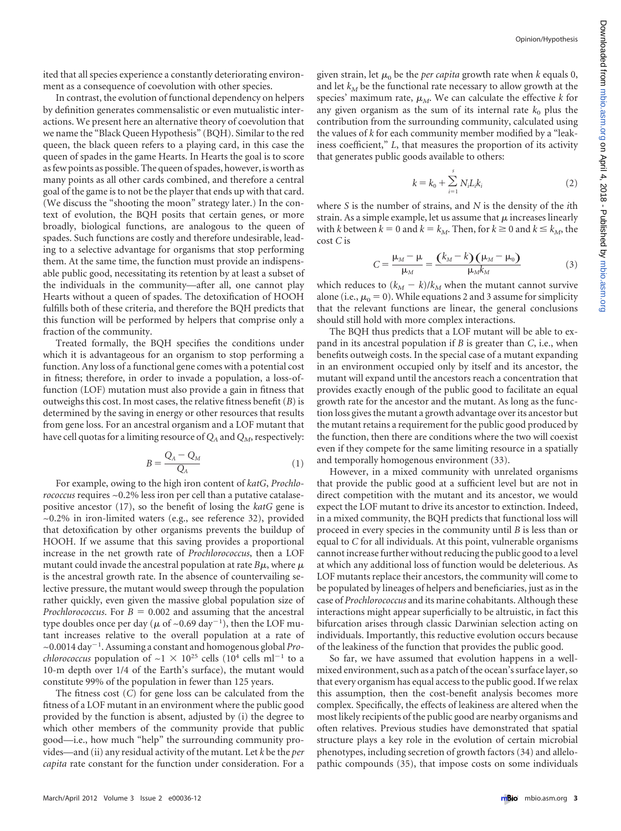ited that all species experience a constantly deteriorating environment as a consequence of coevolution with other species.

In contrast, the evolution of functional dependency on helpers by definition generates commensalistic or even mutualistic interactions. We present here an alternative theory of coevolution that we name the "Black Queen Hypothesis" (BQH). Similar to the red queen, the black queen refers to a playing card, in this case the queen of spades in the game Hearts. In Hearts the goal is to score as few points as possible. The queen of spades, however, is worth as many points as all other cards combined, and therefore a central goal of the game is to not be the player that ends up with that card. (We discuss the "shooting the moon" strategy later.) In the context of evolution, the BQH posits that certain genes, or more broadly, biological functions, are analogous to the queen of spades. Such functions are costly and therefore undesirable, leading to a selective advantage for organisms that stop performing them. At the same time, the function must provide an indispensable public good, necessitating its retention by at least a subset of the individuals in the community—after all, one cannot play Hearts without a queen of spades. The detoxification of HOOH fulfills both of these criteria, and therefore the BQH predicts that this function will be performed by helpers that comprise only a fraction of the community.

Treated formally, the BQH specifies the conditions under which it is advantageous for an organism to stop performing a function. Any loss of a functional gene comes with a potential cost in fitness; therefore, in order to invade a population, a loss-offunction (LOF) mutation must also provide a gain in fitness that outweighs this cost. In most cases, the relative fitness benefit (*B*) is determined by the saving in energy or other resources that results from gene loss. For an ancestral organism and a LOF mutant that have cell quotas for a limiting resource of  $Q_A$  and  $Q_M$ , respectively:

$$
B = \frac{Q_A - Q_M}{Q_A} \tag{1}
$$

For example, owing to the high iron content of *katG*, *Prochlorococcus* requires ~0.2% less iron per cell than a putative catalasepositive ancestor [\(17\)](#page-5-15), so the benefit of losing the *katG* gene is ~0.2% in iron-limited waters (e.g., see reference 32), provided that detoxification by other organisms prevents the buildup of HOOH. If we assume that this saving provides a proportional increase in the net growth rate of *Prochlorococcus*, then a LOF mutant could invade the ancestral population at rate  $B\mu$ , where  $\mu$ is the ancestral growth rate. In the absence of countervailing selective pressure, the mutant would sweep through the population rather quickly, even given the massive global population size of *Prochlorococcus*. For  $B = 0.002$  and assuming that the ancestral type doubles once per day ( $\mu$  of ~0.69 day<sup>-1</sup>), then the LOF mutant increases relative to the overall population at a rate of  $\sim 0.0014 \,\mathrm{day}^{-1}$ . Assuming a constant and homogenous global *Prochlorococcus* population of  $\sim$ 1  $\times$  10<sup>25</sup> cells (10<sup>4</sup> cells ml<sup>-1</sup> to a 10-m depth over 1/4 of the Earth's surface), the mutant would constitute 99% of the population in fewer than 125 years.

The fitness cost (*C*) for gene loss can be calculated from the fitness of a LOF mutant in an environment where the public good provided by the function is absent, adjusted by (i) the degree to which other members of the community provide that public good—i.e., how much "help" the surrounding community provides—and (ii) any residual activity of the mutant. Let *k* be the *per capita* rate constant for the function under consideration. For a

given strain, let  $\mu_0$  be the *per capita* growth rate when *k* equals 0, and let  $k_M$  be the functional rate necessary to allow growth at the species' maximum rate,  $\mu_M$ . We can calculate the effective *k* for any given organism as the sum of its internal rate  $k_0$  plus the contribution from the surrounding community, calculated using the values of *k* for each community member modified by a "leakiness coefficient," *L*, that measures the proportion of its activity that generates public goods available to others:

$$
k = k_0 + \sum_{i=1}^{s} N_i L_i k_i
$$
 (2)

where *S* is the number of strains, and *N* is the density of the *i*th strain. As a simple example, let us assume that  $\mu$  increases linearly with *k* between  $k = 0$  and  $k = k_M$ . Then, for  $k \ge 0$  and  $k \le k_M$ , the cost *C* is

$$
C = \frac{\mu_M - \mu}{\mu_M} = \frac{(k_M - k)(\mu_M - \mu_0)}{\mu_M k_M}
$$
(3)

which reduces to  $(k_M - k)/k_M$  when the mutant cannot survive alone (i.e.,  $\mu_0 = 0$ ). While equations 2 and 3 assume for simplicity that the relevant functions are linear, the general conclusions should still hold with more complex interactions.

The BQH thus predicts that a LOF mutant will be able to expand in its ancestral population if *B* is greater than *C*, i.e., when benefits outweigh costs. In the special case of a mutant expanding in an environment occupied only by itself and its ancestor, the mutant will expand until the ancestors reach a concentration that provides exactly enough of the public good to facilitate an equal growth rate for the ancestor and the mutant. As long as the function loss gives the mutant a growth advantage over its ancestor but the mutant retains a requirement for the public good produced by the function, then there are conditions where the two will coexist even if they compete for the same limiting resource in a spatially and temporally homogenous environment [\(33\)](#page-5-30).

However, in a mixed community with unrelated organisms that provide the public good at a sufficient level but are not in direct competition with the mutant and its ancestor, we would expect the LOF mutant to drive its ancestor to extinction. Indeed, in a mixed community, the BQH predicts that functional loss will proceed in every species in the community until *B* is less than or equal to *C* for all individuals. At this point, vulnerable organisms cannot increase further without reducing the public good to a level at which any additional loss of function would be deleterious. As LOF mutants replace their ancestors, the community will come to be populated by lineages of helpers and beneficiaries, just as in the case of *Prochlorococcus* and its marine cohabitants. Although these interactions might appear superficially to be altruistic, in fact this bifurcation arises through classic Darwinian selection acting on individuals. Importantly, this reductive evolution occurs because of the leakiness of the function that provides the public good.

So far, we have assumed that evolution happens in a wellmixed environment, such as a patch of the ocean's surface layer, so that every organism has equal access to the public good. If we relax this assumption, then the cost-benefit analysis becomes more complex. Specifically, the effects of leakiness are altered when the most likely recipients of the public good are nearby organisms and often relatives. Previous studies have demonstrated that spatial structure plays a key role in the evolution of certain microbial phenotypes, including secretion of growth factors [\(34\)](#page-5-31) and allelopathic compounds [\(35\)](#page-5-32), that impose costs on some individuals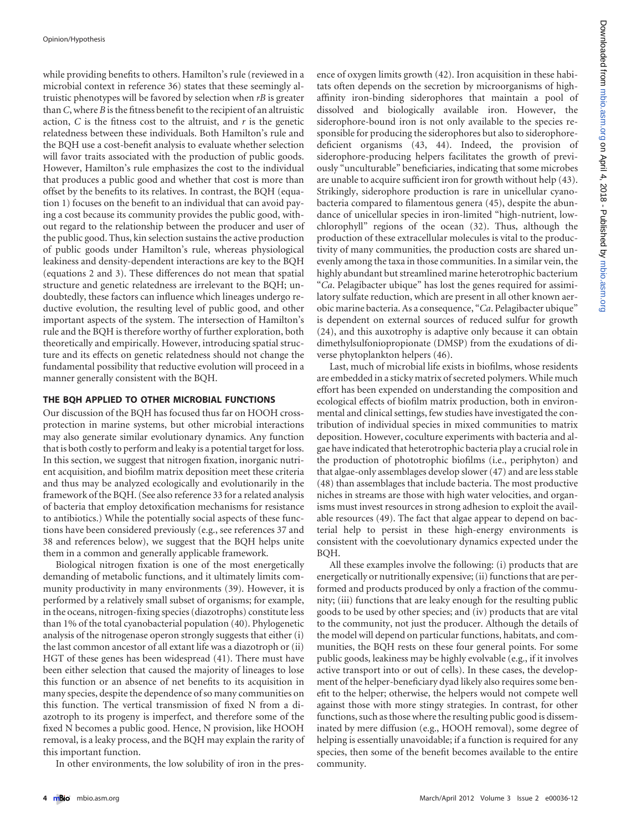while providing benefits to others. Hamilton's rule (reviewed in a microbial context in reference 36) states that these seemingly altruistic phenotypes will be favored by selection when *rB* is greater than*C*, where *B* is the fitness benefit to the recipient of an altruistic action,  $C$  is the fitness cost to the altruist, and  $r$  is the genetic relatedness between these individuals. Both Hamilton's rule and the BQH use a cost-benefit analysis to evaluate whether selection will favor traits associated with the production of public goods. However, Hamilton's rule emphasizes the cost to the individual that produces a public good and whether that cost is more than offset by the benefits to its relatives. In contrast, the BQH (equation 1) focuses on the benefit to an individual that can avoid paying a cost because its community provides the public good, without regard to the relationship between the producer and user of the public good. Thus, kin selection sustains the active production of public goods under Hamilton's rule, whereas physiological leakiness and density-dependent interactions are key to the BQH (equations 2 and 3). These differences do not mean that spatial structure and genetic relatedness are irrelevant to the BQH; undoubtedly, these factors can influence which lineages undergo reductive evolution, the resulting level of public good, and other important aspects of the system. The intersection of Hamilton's rule and the BQH is therefore worthy of further exploration, both theoretically and empirically. However, introducing spatial structure and its effects on genetic relatedness should not change the fundamental possibility that reductive evolution will proceed in a manner generally consistent with the BQH.

## **THE BQH APPLIED TO OTHER MICROBIAL FUNCTIONS**

Our discussion of the BQH has focused thus far on HOOH crossprotection in marine systems, but other microbial interactions may also generate similar evolutionary dynamics. Any function that is both costly to perform and leaky is a potential target for loss. In this section, we suggest that nitrogen fixation, inorganic nutrient acquisition, and biofilm matrix deposition meet these criteria and thus may be analyzed ecologically and evolutionarily in the framework of the BQH. (See also reference [33](#page-5-30) for a related analysis of bacteria that employ detoxification mechanisms for resistance to antibiotics.) While the potentially social aspects of these functions have been considered previously (e.g., see references 37 and 38 and references below), we suggest that the BQH helps unite them in a common and generally applicable framework.

Biological nitrogen fixation is one of the most energetically demanding of metabolic functions, and it ultimately limits community productivity in many environments [\(39\)](#page-5-33). However, it is performed by a relatively small subset of organisms; for example, in the oceans, nitrogen-fixing species (diazotrophs) constitute less than 1% of the total cyanobacterial population [\(40\)](#page-5-34). Phylogenetic analysis of the nitrogenase operon strongly suggests that either (i) the last common ancestor of all extant life was a diazotroph or (ii) HGT of these genes has been widespread [\(41\)](#page-5-35). There must have been either selection that caused the majority of lineages to lose this function or an absence of net benefits to its acquisition in many species, despite the dependence of so many communities on this function. The vertical transmission of fixed N from a diazotroph to its progeny is imperfect, and therefore some of the fixed N becomes a public good. Hence, N provision, like HOOH removal, is a leaky process, and the BQH may explain the rarity of this important function.

In other environments, the low solubility of iron in the pres-

ence of oxygen limits growth [\(42\)](#page-5-36). Iron acquisition in these habitats often depends on the secretion by microorganisms of highaffinity iron-binding siderophores that maintain a pool of dissolved and biologically available iron. However, the siderophore-bound iron is not only available to the species responsible for producing the siderophores but also to siderophoredeficient organisms [\(43,](#page-5-37) [44\)](#page-5-38). Indeed, the provision of siderophore-producing helpers facilitates the growth of previously "unculturable" beneficiaries, indicating that some microbes are unable to acquire sufficient iron for growth without help [\(43\)](#page-5-37). Strikingly, siderophore production is rare in unicellular cyanobacteria compared to filamentous genera [\(45\)](#page-5-39), despite the abundance of unicellular species in iron-limited "high-nutrient, lowchlorophyll" regions of the ocean [\(32\)](#page-5-40). Thus, although the production of these extracellular molecules is vital to the productivity of many communities, the production costs are shared unevenly among the taxa in those communities. In a similar vein, the highly abundant but streamlined marine heterotrophic bacterium "*Ca*. Pelagibacter ubique" has lost the genes required for assimilatory sulfate reduction, which are present in all other known aerobic marine bacteria. As a consequence, "*Ca*. Pelagibacter ubique" is dependent on external sources of reduced sulfur for growth [\(24\)](#page-5-22), and this auxotrophy is adaptive only because it can obtain dimethylsulfoniopropionate (DMSP) from the exudations of diverse phytoplankton helpers [\(46\)](#page-5-41).

Last, much of microbial life exists in biofilms, whose residents are embedded in a sticky matrix of secreted polymers. While much effort has been expended on understanding the composition and ecological effects of biofilm matrix production, both in environmental and clinical settings, few studies have investigated the contribution of individual species in mixed communities to matrix deposition. However, coculture experiments with bacteria and algae have indicated that heterotrophic bacteria play a crucial role in the production of phototrophic biofilms (i.e., periphyton) and that algae-only assemblages develop slower [\(47\)](#page-5-42) and are less stable [\(48\)](#page-5-43) than assemblages that include bacteria. The most productive niches in streams are those with high water velocities, and organisms must invest resources in strong adhesion to exploit the available resources [\(49\)](#page-5-44). The fact that algae appear to depend on bacterial help to persist in these high-energy environments is consistent with the coevolutionary dynamics expected under the BQH.

All these examples involve the following: (i) products that are energetically or nutritionally expensive; (ii) functions that are performed and products produced by only a fraction of the community; (iii) functions that are leaky enough for the resulting public goods to be used by other species; and (iv) products that are vital to the community, not just the producer. Although the details of the model will depend on particular functions, habitats, and communities, the BQH rests on these four general points. For some public goods, leakiness may be highly evolvable (e.g., if it involves active transport into or out of cells). In these cases, the development of the helper-beneficiary dyad likely also requires some benefit to the helper; otherwise, the helpers would not compete well against those with more stingy strategies. In contrast, for other functions, such as those where the resulting public good is disseminated by mere diffusion (e.g., HOOH removal), some degree of helping is essentially unavoidable; if a function is required for any species, then some of the benefit becomes available to the entire community.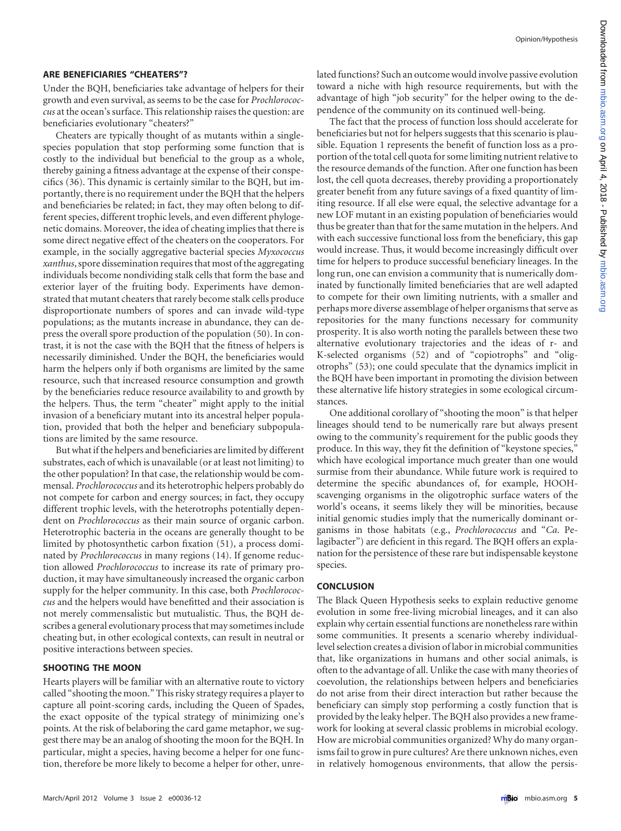#### **ARE BENEFICIARIES "CHEATERS"?**

Under the BQH, beneficiaries take advantage of helpers for their growth and even survival, as seems to be the case for *Prochlorococcus* at the ocean's surface. This relationship raises the question: are beneficiaries evolutionary "cheaters?"

Cheaters are typically thought of as mutants within a singlespecies population that stop performing some function that is costly to the individual but beneficial to the group as a whole, thereby gaining a fitness advantage at the expense of their conspecifics [\(36\)](#page-5-45). This dynamic is certainly similar to the BQH, but importantly, there is no requirement under the BQH that the helpers and beneficiaries be related; in fact, they may often belong to different species, different trophic levels, and even different phylogenetic domains. Moreover, the idea of cheating implies that there is some direct negative effect of the cheaters on the cooperators. For example, in the socially aggregative bacterial species *Myxococcus xanthus*, spore dissemination requires that most of the aggregating individuals become nondividing stalk cells that form the base and exterior layer of the fruiting body. Experiments have demonstrated that mutant cheaters that rarely become stalk cells produce disproportionate numbers of spores and can invade wild-type populations; as the mutants increase in abundance, they can depress the overall spore production of the population [\(50\)](#page-5-46). In contrast, it is not the case with the BQH that the fitness of helpers is necessarily diminished. Under the BQH, the beneficiaries would harm the helpers only if both organisms are limited by the same resource, such that increased resource consumption and growth by the beneficiaries reduce resource availability to and growth by the helpers. Thus, the term "cheater" might apply to the initial invasion of a beneficiary mutant into its ancestral helper population, provided that both the helper and beneficiary subpopulations are limited by the same resource.

But what if the helpers and beneficiaries are limited by different substrates, each of which is unavailable (or at least not limiting) to the other population? In that case, the relationship would be commensal. *Prochlorococcus* and its heterotrophic helpers probably do not compete for carbon and energy sources; in fact, they occupy different trophic levels, with the heterotrophs potentially dependent on *Prochlorococcus* as their main source of organic carbon. Heterotrophic bacteria in the oceans are generally thought to be limited by photosynthetic carbon fixation [\(51\)](#page-6-0), a process dominated by *Prochlorococcus* in many regions [\(14\)](#page-5-12). If genome reduction allowed *Prochlorococcus* to increase its rate of primary production, it may have simultaneously increased the organic carbon supply for the helper community. In this case, both *Prochlorococcus* and the helpers would have benefitted and their association is not merely commensalistic but mutualistic. Thus, the BQH describes a general evolutionary process that may sometimes include cheating but, in other ecological contexts, can result in neutral or positive interactions between species.

## **SHOOTING THE MOON**

Hearts players will be familiar with an alternative route to victory called "shooting the moon." This risky strategy requires a player to capture all point-scoring cards, including the Queen of Spades, the exact opposite of the typical strategy of minimizing one's points. At the risk of belaboring the card game metaphor, we suggest there may be an analog of shooting the moon for the BQH. In particular, might a species, having become a helper for one function, therefore be more likely to become a helper for other, unrelated functions? Such an outcome would involve passive evolution toward a niche with high resource requirements, but with the advantage of high "job security" for the helper owing to the dependence of the community on its continued well-being.

The fact that the process of function loss should accelerate for beneficiaries but not for helpers suggests that this scenario is plausible. Equation 1 represents the benefit of function loss as a proportion of the total cell quota for some limiting nutrient relative to the resource demands of the function. After one function has been lost, the cell quota decreases, thereby providing a proportionately greater benefit from any future savings of a fixed quantity of limiting resource. If all else were equal, the selective advantage for a new LOF mutant in an existing population of beneficiaries would thus be greater than that for the same mutation in the helpers. And with each successive functional loss from the beneficiary, this gap would increase. Thus, it would become increasingly difficult over time for helpers to produce successful beneficiary lineages. In the long run, one can envision a community that is numerically dominated by functionally limited beneficiaries that are well adapted to compete for their own limiting nutrients, with a smaller and perhaps more diverse assemblage of helper organisms that serve as repositories for the many functions necessary for community prosperity. It is also worth noting the parallels between these two alternative evolutionary trajectories and the ideas of r- and K-selected organisms [\(52\)](#page-6-1) and of "copiotrophs" and "oligotrophs" [\(53\)](#page-6-2); one could speculate that the dynamics implicit in the BQH have been important in promoting the division between these alternative life history strategies in some ecological circumstances.

One additional corollary of "shooting the moon" is that helper lineages should tend to be numerically rare but always present owing to the community's requirement for the public goods they produce. In this way, they fit the definition of "keystone species," which have ecological importance much greater than one would surmise from their abundance. While future work is required to determine the specific abundances of, for example, HOOHscavenging organisms in the oligotrophic surface waters of the world's oceans, it seems likely they will be minorities, because initial genomic studies imply that the numerically dominant organisms in those habitats (e.g., *Prochlorococcus* and "*Ca*. Pelagibacter") are deficient in this regard. The BQH offers an explanation for the persistence of these rare but indispensable keystone species.

## **CONCLUSION**

The Black Queen Hypothesis seeks to explain reductive genome evolution in some free-living microbial lineages, and it can also explain why certain essential functions are nonetheless rare within some communities. It presents a scenario whereby individuallevel selection creates a division of labor in microbial communities that, like organizations in humans and other social animals, is often to the advantage of all. Unlike the case with many theories of coevolution, the relationships between helpers and beneficiaries do not arise from their direct interaction but rather because the beneficiary can simply stop performing a costly function that is provided by the leaky helper. The BQH also provides a new framework for looking at several classic problems in microbial ecology. How are microbial communities organized? Why do many organisms fail to grow in pure cultures? Are there unknown niches, even in relatively homogenous environments, that allow the persis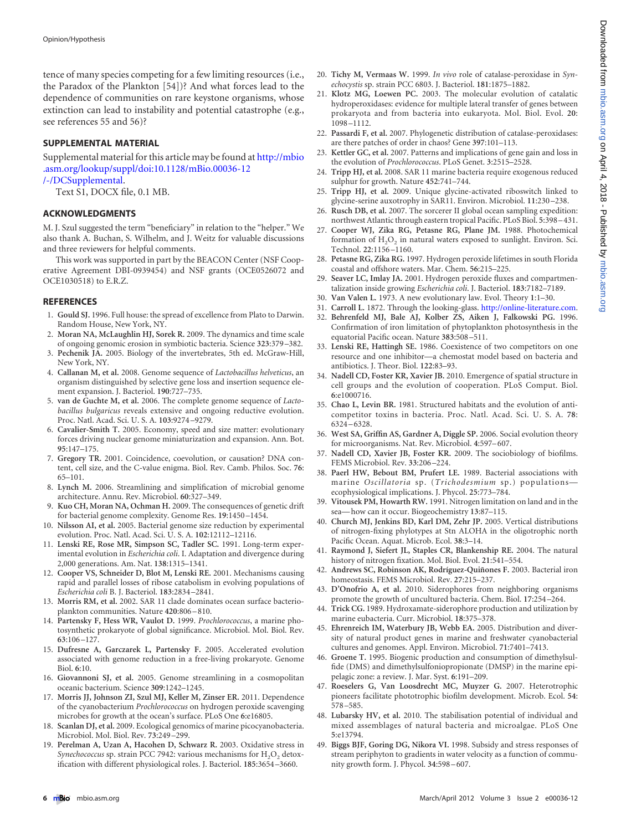<span id="page-5-46"></span>tence of many species competing for a few limiting resources (i.e., the Paradox of the Plankton [\[54\]](#page-6-3))? And what forces lead to the dependence of communities on rare keystone organisms, whose extinction can lead to instability and potential catastrophe (e.g., see references 55 and 56)?

#### **SUPPLEMENTAL MATERIAL**

Supplemental material for this article may be found at [http://mbio](http://mbio.asm.org/lookup/suppl/doi:10.1128/mBio.00036-12/-/DCSupplemental) [.asm.org/lookup/suppl/doi:10.1128/mBio.00036-12](http://mbio.asm.org/lookup/suppl/doi:10.1128/mBio.00036-12/-/DCSupplemental)

[/-/DCSupplemental.](http://mbio.asm.org/lookup/suppl/doi:10.1128/mBio.00036-12/-/DCSupplemental)

Text S1, DOCX file, 0.1 MB.

#### **ACKNOWLEDGMENTS**

M. J. Szul suggested the term "beneficiary" in relation to the "helper." We also thank A. Buchan, S. Wilhelm, and J. Weitz for valuable discussions and three reviewers for helpful comments.

This work was supported in part by the BEACON Center (NSF Cooperative Agreement DBI-0939454) and NSF grants (OCE0526072 and OCE1030518) to E.R.Z.

#### <span id="page-5-0"></span>**REFERENCES**

- 1. **Gould SJ.** 1996. Full house: the spread of excellence from Plato to Darwin. Random House, New York, NY.
- 2. **Moran NA, McLaughlin HJ, Sorek R.** 2009. The dynamics and time scale of ongoing genomic erosion in symbiotic bacteria. Science **323**:379 –382.
- <span id="page-5-1"></span>3. **Pechenik JA.** 2005. Biology of the invertebrates, 5th ed. McGraw-Hill, New York, NY.
- <span id="page-5-2"></span>4. **Callanan M, et al.** 2008. Genome sequence of *Lactobacillus helveticus*, an organism distinguished by selective gene loss and insertion sequence element expansion. J. Bacteriol. **190**:727–735.
- <span id="page-5-3"></span>5. **van de Guchte M, et al.** 2006. The complete genome sequence of *Lactobacillus bulgaricus* reveals extensive and ongoing reductive evolution. Proc. Natl. Acad. Sci. U. S. A. **103**:9274 –9279.
- <span id="page-5-4"></span>6. **Cavalier-Smith T.** 2005. Economy, speed and size matter: evolutionary forces driving nuclear genome miniaturization and expansion. Ann. Bot. **95**:147–175.
- <span id="page-5-5"></span>7. **Gregory TR.** 2001. Coincidence, coevolution, or causation? DNA content, cell size, and the C-value enigma. Biol. Rev. Camb. Philos. Soc. **76**: 65–101.
- <span id="page-5-6"></span>8. **Lynch M.** 2006. Streamlining and simplification of microbial genome architecture. Annu. Rev. Microbiol. **60**:327–349.
- <span id="page-5-7"></span>9. **Kuo CH, Moran NA, Ochman H.** 2009. The consequences of genetic drift for bacterial genome complexity. Genome Res. **19**:1450 –1454.
- <span id="page-5-8"></span>10. **Nilsson AI, et al.** 2005. Bacterial genome size reduction by experimental evolution. Proc. Natl. Acad. Sci. U. S. A. **102**:12112–12116.
- <span id="page-5-9"></span>11. **Lenski RE, Rose MR, Simpson SC, Tadler SC.** 1991. Long-term experimental evolution in *Escherichia coli*. I. Adaptation and divergence during 2,000 generations. Am. Nat. **138**:1315–1341.
- <span id="page-5-10"></span>12. **Cooper VS, Schneider D, Blot M, Lenski RE.** 2001. Mechanisms causing rapid and parallel losses of ribose catabolism in evolving populations of *Escherichia coli* B. J. Bacteriol. **183**:2834 –2841.
- <span id="page-5-11"></span>13. **Morris RM, et al.** 2002. SAR 11 clade dominates ocean surface bacterioplankton communities. Nature **420**:806 – 810.
- <span id="page-5-12"></span>14. **Partensky F, Hess WR, Vaulot D.** 1999. *Prochlorococcus*, a marine photosynthetic prokaryote of global significance. Microbiol. Mol. Biol. Rev. **63**:106 –127.
- <span id="page-5-13"></span>15. **Dufresne A, Garczarek L, Partensky F.** 2005. Accelerated evolution associated with genome reduction in a free-living prokaryote. Genome Biol. **6**:10.
- <span id="page-5-14"></span>16. **Giovannoni SJ, et al.** 2005. Genome streamlining in a cosmopolitan oceanic bacterium. Science **309**:1242–1245.
- <span id="page-5-15"></span>17. **Morris JJ, Johnson ZI, Szul MJ, Keller M, Zinser ER.** 2011. Dependence of the cyanobacterium *Prochlorococcus* on hydrogen peroxide scavenging microbes for growth at the ocean's surface. PLoS One **6**:e16805.
- <span id="page-5-16"></span>18. **Scanlan DJ, et al.** 2009. Ecological genomics of marine picocyanobacteria. Microbiol. Mol. Biol. Rev. **73**:249 –299.
- <span id="page-5-17"></span>19. **Perelman A, Uzan A, Hacohen D, Schwarz R.** 2003. Oxidative stress in *Synechococcus* sp. strain PCC 7942: various mechanisms for  $H_2O_2$  detoxification with different physiological roles. J. Bacteriol. **185**:3654 –3660.
- <span id="page-5-18"></span>20. **Tichy M, Vermaas W.** 1999. *In vivo* role of catalase-peroxidase in *Synechocystis* sp. strain PCC 6803. J. Bacteriol. **181**:1875–1882.
- <span id="page-5-19"></span>21. **Klotz MG, Loewen PC.** 2003. The molecular evolution of catalatic hydroperoxidases: evidence for multiple lateral transfer of genes between prokaryota and from bacteria into eukaryota. Mol. Biol. Evol. **20**: 1098 –1112.
- <span id="page-5-20"></span>22. **Passardi F, et al.** 2007. Phylogenetic distribution of catalase-peroxidases: are there patches of order in chaos? Gene **397**:101–113.
- <span id="page-5-21"></span>23. **Kettler GC, et al.** 2007. Patterns and implications of gene gain and loss in the evolution of *Prochlorococcus*. PLoS Genet. **3**:2515–2528.
- <span id="page-5-22"></span>24. **Tripp HJ, et al.** 2008. SAR 11 marine bacteria require exogenous reduced sulphur for growth. Nature **452**:741–744.
- <span id="page-5-23"></span>25. **Tripp HJ, et al.** 2009. Unique glycine-activated riboswitch linked to glycine-serine auxotrophy in SAR11. Environ. Microbiol. **11**:230 –238.
- <span id="page-5-24"></span>26. **Rusch DB, et al.** 2007. The sorcerer II global ocean sampling expedition: northwest Atlantic through eastern tropical Pacific. PLoS Biol. **5**:398 – 431.
- <span id="page-5-25"></span>27. **Cooper WJ, Zika RG, Petasne RG, Plane JM.** 1988. Photochemical formation of  $H_2O_2$  in natural waters exposed to sunlight. Environ. Sci. Technol. **22**:1156 –1160.
- <span id="page-5-26"></span>28. **Petasne RG, Zika RG.** 1997. Hydrogen peroxide lifetimes in south Florida coastal and offshore waters. Mar. Chem. **56**:215–225.
- <span id="page-5-27"></span>29. **Seaver LC, Imlay JA.** 2001. Hydrogen peroxide fluxes and compartmentalization inside growing *Escherichia coli*. J. Bacteriol. **183**:7182–7189.
- <span id="page-5-29"></span><span id="page-5-28"></span>30. **Van Valen L.** 1973. A new evolutionary law. Evol. Theory **1**:1–30.
- 31. **Carroll L.** 1872. Through the looking-glass. [http://online-literature.com.](http://online-literature.com)
- <span id="page-5-40"></span>32. **Behrenfeld MJ, Bale AJ, Kolber ZS, Aiken J, Falkowski PG.** 1996. Confirmation of iron limitation of phytoplankton photosynthesis in the equatorial Pacific ocean. Nature **383**:508 –511.
- <span id="page-5-30"></span>33. **Lenski RE, Hattingh SE.** 1986. Coexistence of two competitors on one resource and one inhibitor—a chemostat model based on bacteria and antibiotics. J. Theor. Biol. **122**:83–93.
- <span id="page-5-31"></span>34. **Nadell CD, Foster KR, Xavier JB.** 2010. Emergence of spatial structure in cell groups and the evolution of cooperation. PLoS Comput. Biol. **6**:e1000716.
- <span id="page-5-32"></span>35. **Chao L, Levin BR.** 1981. Structured habitats and the evolution of anticompetitor toxins in bacteria. Proc. Natl. Acad. Sci. U. S. A. **78**: 6324 – 6328.
- <span id="page-5-45"></span>36. **West SA, Griffin AS, Gardner A, Diggle SP.** 2006. Social evolution theory for microorganisms. Nat. Rev. Microbiol. **4**:597– 607.
- 37. **Nadell CD, Xavier JB, Foster KR.** 2009. The sociobiology of biofilms. FEMS Microbiol. Rev. **33**:206 –224.
- 38. **Paerl HW, Bebout BM, Prufert LE.** 1989. Bacterial associations with marine *Oscillatoria* sp. (*Trichodesmium* sp.) populations ecophysiological implications. J. Phycol. **25**:773–784.
- <span id="page-5-33"></span>39. **Vitousek PM, Howarth RW.** 1991. Nitrogen limitation on land and in the sea— how can it occur. Biogeochemistry **13**:87–115.
- <span id="page-5-34"></span>40. **Church MJ, Jenkins BD, Karl DM, Zehr JP.** 2005. Vertical distributions of nitrogen-fixing phylotypes at Stn ALOHA in the oligotrophic north Pacific Ocean. Aquat. Microb. Ecol. **38**:3–14.
- <span id="page-5-35"></span>41. **Raymond J, Siefert JL, Staples CR, Blankenship RE.** 2004. The natural history of nitrogen fixation. Mol. Biol. Evol. **21**:541–554.
- <span id="page-5-36"></span>42. **Andrews SC, Robinson AK, Rodríguez-Quiñones F.** 2003. Bacterial iron homeostasis. FEMS Microbiol. Rev. **27**:215–237.
- <span id="page-5-37"></span>43. **D'Onofrio A, et al.** 2010. Siderophores from neighboring organisms promote the growth of uncultured bacteria. Chem. Biol. **17**:254 –264.
- <span id="page-5-38"></span>44. **Trick CG.** 1989. Hydroxamate-siderophore production and utilization by marine eubacteria. Curr. Microbiol. **18**:375–378.
- <span id="page-5-39"></span>45. **Ehrenreich IM, Waterbury JB, Webb EA.** 2005. Distribution and diversity of natural product genes in marine and freshwater cyanobacterial cultures and genomes. Appl. Environ. Microbiol. **71**:7401–7413.
- <span id="page-5-41"></span>46. **Groene T.** 1995. Biogenic production and consumption of dimethylsulfide (DMS) and dimethylsulfoniopropionate (DMSP) in the marine epipelagic zone: a review. J. Mar. Syst. **6**:191–209.
- <span id="page-5-42"></span>47. **Roeselers G, Van Loosdrecht MC, Muyzer G.** 2007. Heterotrophic pioneers facilitate phototrophic biofilm development. Microb. Ecol. **54**: 578 –585.
- <span id="page-5-43"></span>48. **Lubarsky HV, et al.** 2010. The stabilisation potential of individual and mixed assemblages of natural bacteria and microalgae. PLoS One **5**:e13794.
- <span id="page-5-44"></span>49. **Biggs BJF, Goring DG, Nikora VI.** 1998. Subsidy and stress responses of stream periphyton to gradients in water velocity as a function of community growth form. J. Phycol. **34**:598 – 607.